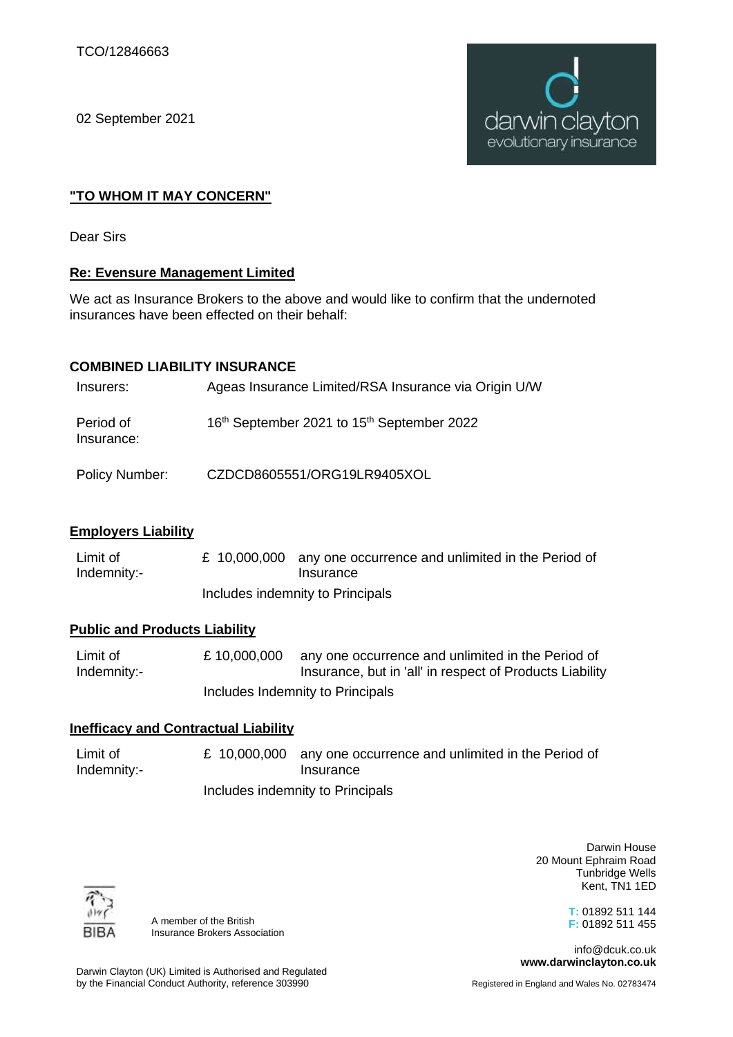02 September 2021



# **"TO WHOM IT MAY CONCERN"**

Dear Sirs

## **Re: Evensure Management Limited**

We act as Insurance Brokers to the above and would like to confirm that the undernoted insurances have been effected on their behalf:

## **COMBINED LIABILITY INSURANCE**

| Insurers:               | Ageas Insurance Limited/RSA Insurance via Origin U/W               |
|-------------------------|--------------------------------------------------------------------|
| Period of<br>Insurance: | 16 <sup>th</sup> September 2021 to 15 <sup>th</sup> September 2022 |
| Policy Number:          | CZDCD8605551/ORG19LR9405XOL                                        |

### **Employers Liability**

Limit of Indemnity:- £ 10,000,000 any one occurrence and unlimited in the Period of Insurance Includes indemnity to Principals

### **Public and Products Liability**

Limit of Indemnity:- £ 10,000,000 any one occurrence and unlimited in the Period of Insurance, but in 'all' in respect of Products Liability Includes Indemnity to Principals

### **Inefficacy and Contractual Liability**

Limit of Indemnity:- £ 10,000,000 any one occurrence and unlimited in the Period of **Insurance** Includes indemnity to Principals

> Darwin House 20 Mount Ephraim Road Tunbridge Wells Kent, TN1 1ED

> > **T:** 01892 511 144 **F:** 01892 511 455

info@dcuk.co.uk **www.darwinclayton.co.uk**



A member of the British Insurance Brokers Association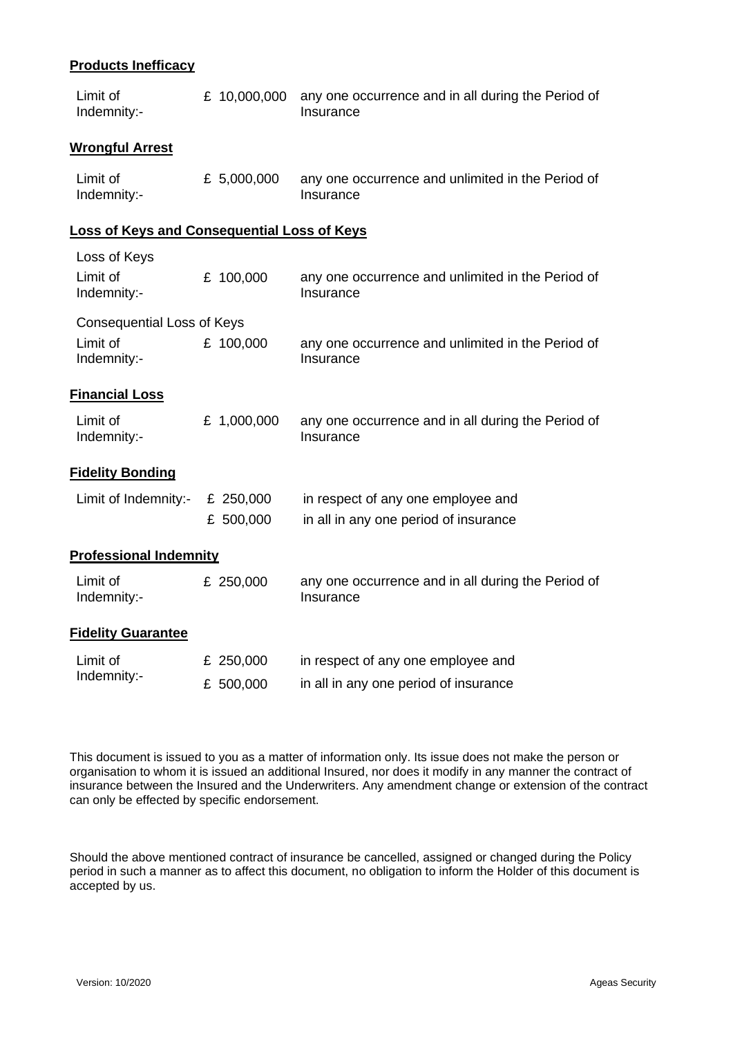### **Products Inefficacy**

| Limit of<br>Indemnity:-                            | £ 10,000,000           | any one occurrence and in all during the Period of<br>Insurance             |  |
|----------------------------------------------------|------------------------|-----------------------------------------------------------------------------|--|
| <b>Wrongful Arrest</b>                             |                        |                                                                             |  |
| Limit of<br>Indemnity:-                            | £ 5,000,000            | any one occurrence and unlimited in the Period of<br>Insurance              |  |
| <b>Loss of Keys and Consequential Loss of Keys</b> |                        |                                                                             |  |
| Loss of Keys<br>Limit of<br>Indemnity:-            | £ 100,000              | any one occurrence and unlimited in the Period of<br>Insurance              |  |
| <b>Consequential Loss of Keys</b>                  |                        |                                                                             |  |
| Limit of<br>Indemnity:-                            | £ 100,000              | any one occurrence and unlimited in the Period of<br>Insurance              |  |
| <b>Financial Loss</b>                              |                        |                                                                             |  |
| Limit of<br>Indemnity:-                            | £ 1,000,000            | any one occurrence and in all during the Period of<br>Insurance             |  |
| <b>Fidelity Bonding</b>                            |                        |                                                                             |  |
| Limit of Indemnity:-                               | £ 250,000<br>£ 500,000 | in respect of any one employee and<br>in all in any one period of insurance |  |
| <b>Professional Indemnity</b>                      |                        |                                                                             |  |
| Limit of<br>Indemnity:-                            | £ 250,000              | any one occurrence and in all during the Period of<br>Insurance             |  |
| <b>Fidelity Guarantee</b>                          |                        |                                                                             |  |
| Limit of<br>Indemnity:-                            | £ 250,000<br>£ 500,000 | in respect of any one employee and<br>in all in any one period of insurance |  |

This document is issued to you as a matter of information only. Its issue does not make the person or organisation to whom it is issued an additional Insured, nor does it modify in any manner the contract of insurance between the Insured and the Underwriters. Any amendment change or extension of the contract can only be effected by specific endorsement.

Should the above mentioned contract of insurance be cancelled, assigned or changed during the Policy period in such a manner as to affect this document, no obligation to inform the Holder of this document is accepted by us.